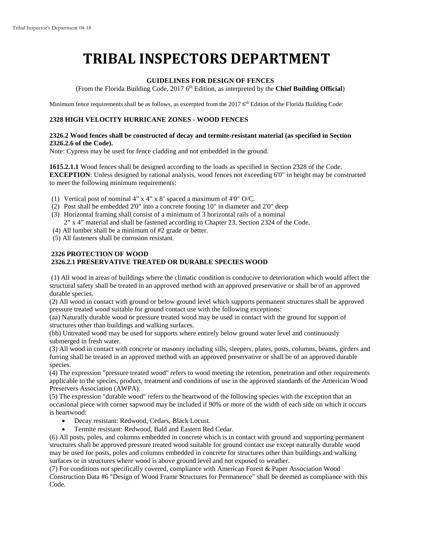# **TRIBAL INSPECTORS DEPARTMENT**

## **GUIDELINES FOR DESIGN OF FENCES**

(From the Florida Building Code, 2017 6<sup>th</sup> Edition, as interpreted by the **Chief Building Official**)

Minimum fence requirements shall be as follows, as excerpted from the 2017 6<sup>th</sup> Edition of the Florida Building Code:

# **2328 HIGH VELOCITY HURRICANE ZONES - WOOD FENCES**

#### **2326.2 Wood fences shall be constructed of decay and termite-resistant material (as specified in Section 2326.2.6 of the Code).**

Note: Cypress may be used for fence cladding and not embedded in the ground.

**1615.2.1.1** Wood fences shall be designed according to the loads as specified in Section 2328 of the Code. **EXCEPTION**: Unless designed by rational analysis, wood fences not exceeding 6'0" in height may be constructed to meet the following minimum requirements:

- (1) Vertical post of nominal 4" x 4" x 8' spaced a maximum of 4'0" O/C.
- (2) Post shall be embedded 2'0" into a concrete footing 10" in diameter and 2'0" deep
- (3) Horizontal framing shall consist of a minimum of 3 horizontal rails of a nominal 2" x 4" material and shall be fastened according to Chapter 23, Section 2324 of the Code.
- (4) All lumber shall be a minimum of #2 grade or better.
- (5) All fasteners shall be corrosion resistant.

## **2326 PROTECTION OF WOOD 2326.2.1 PRESERVATIVE TREATED OR DURABLE SPECIES WOOD**

(1) All wood in areas of buildings where the climatic condition is conducive to deterioration which would affect the structural safety shall be treated in an approved method with an approved preservative or shall be of an approved durable species.

(2) All wood in contact with ground or below ground level which supports permanent structures shall be approved pressure treated wood suitable for ground contact use with the following exceptions:

(aa) Naturally durable wood or pressure treated wood may be used in contact with the ground for support of structures other than buildings and walking surfaces.

(bb) Untreated wood may be used for supports where entirely below ground water level and continuously submerged in fresh water.

(3) All wood in contact with concrete or masonry including sills, sleepers, plates, posts, columns, beams, girders and furring shall be treated in an approved method with an approved preservative or shall be of an approved durable species.

(4) The expression "pressure treated wood" refers to wood meeting the retention, penetration and other requirements applicable to the species, product, treatment and conditions of use in the approved standards of the American Wood Preservers Association (AWPA).

(5) The expression "durable wood" refers to the heartwood of the following species with the exception that an occasional piece with corner sapwood may be included if 90% or more of the width of each side on which it occurs is heartwood:

- Decay resistant: Redwood, Cedars, Black Locust.
- Termite resistant: Redwood, Bald and Eastern Red Cedar.

(6) All posts, poles, and columns embedded in concrete which is in contact with ground and supporting permanent structures shall be approved pressure treated wood suitable for ground contact use except naturally durable wood may be used for posts, poles and columns embedded in concrete for structures other than buildings and walking surfaces or in structures where wood is above ground level and not exposed to weather.

(7) For conditions not specifically covered, compliance with American Forest & Paper Association Wood Construction Data #6 "Design of Wood Frame Structures for Permanence" shall be deemed as compliance with this Code.